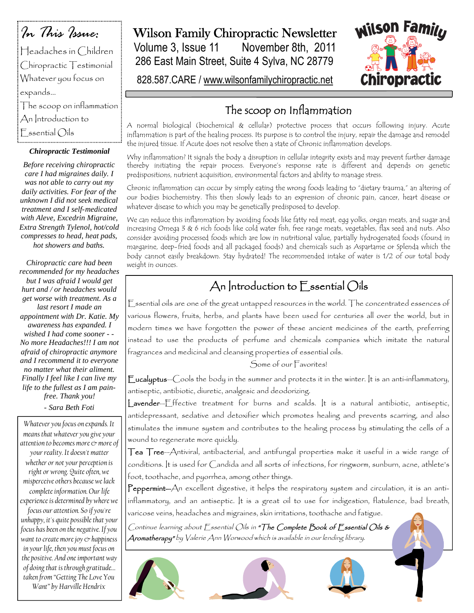*In This Issue:* Headaches in Children Chiropractic Testimonial Whatever you focus on expands… The scoop on inflammation An Introduction to  $F$  ssential  $O$ ils

#### *Chiropractic Testimonial*

*Before receiving chiropractic care I had migraines daily. I was not able to carry out my daily activities. For fear of the unknown I did not seek medical treatment and I self-medicated with Aleve, Excedrin Migraine, Extra Strength Tylenol, hot/cold compresses to head, heat pads, hot showers and baths.*

*Chiropractic care had been recommended for my headaches but I was afraid I would get hurt and / or headaches would get worse with treatment. As a last resort I made an appointment with Dr. Katie. My awareness has expanded. I wished I had come sooner - - No more Headaches!!! I am not afraid of chiropractic anymore and I recommend it to everyone no matter what their aliment. Finally I feel like I can live my life to the fullest as I am painfree. Thank you! - Sara Beth Foti*

*Whatever you focus on expands. It means that whatever you give your attention to becomes more & more of your reality. It doesn't matter whether or not your perception is right or wrong. Quite often, we misperceive others because we lack complete information. Our life experience is determined by where we focus our attention. So if you're unhappy, it's quite possible that your focus has been on the negative. If you want to create more joy & happiness in your life, then you must focus on the positive. And one important way of doing that is through gratitude… taken from "Getting The Love You Want" by Harville Hendrix*

### Wilson Family Chiropractic Newsletter

Volume 3, Issue 11 November 8th, 2011 286 East Main Street, Suite 4 Sylva, NC 28779



828.587.CARE / www.wilsonfamilychiropractic.net

### The scoop on Inflammation

A normal biological (biochemical & cellular) protective process that occurs following injury. Acute inflammation is part of the healing process. Its purpose is to control the injury, repair the damage and remodel the injured tissue. If Acute does not resolve then a state of Chronic inflammation develops.

Why inflammation? It signals the body a disruption in cellular integrity exists and may prevent further damage thereby initiating the repair process. Everyone's response rate is different and depends on genetic predispositions, nutrient acquisition, environmental factors and ability to manage stress.

Chronic inflammation can occur by simply eating the wrong foods leading to "dietary trauma," an altering of our bodies biochemistry. This then slowly leads to an expression of chronic pain, cancer, heart disease or whatever disease to which you may be genetically predisposed to develop.

We can reduce this inflammation by avoiding foods like fatty red meat, egg yolks, organ meats, and sugar and increasing Omega 3 & 6 rich foods like cold water fish, free range meats, vegetables, flax seed and nuts. Also consider avoiding processed foods which are low in nutritional value, partially hydrogenated foods (found in margarine, deep-fried foods and all packaged foods) and chemicals such as Aspartame or Splenda which the body cannot easily breakdown. Stay hydrated! The recommended intake of water is 1/2 of our total body weight in ounces.

## An Introduction to  $\Gamma$  ssential Oils

Essential oils are one of the great untapped resources in the world. The concentrated essences of various flowers, fruits, herbs, and plants have been used for centuries all over the world, but in modern times we have forgotten the power of these ancient medicines of the earth, preferring instead to use the products of perfume and chemicals companies which imitate the natural fragrances and medicinal and cleansing properties of essential oils.

Some of our Favorites!

Eucalyptus—Cools the body in the summer and protects it in the winter. It is an anti-inflammatory, antiseptic, antibiotic, diuretic, analgesic and deodorizing.

Lavender—Effective treatment for burns and scalds. It is a natural antibiotic, antiseptic, antidepressant, sedative and detoxifier which promotes healing and prevents scarring, and also stimulates the immune system and contributes to the healing process by stimulating the cells of a wound to regenerate more quickly.

Tea Tree—Antiviral, antibacterial, and antifungal properties make it useful in a wide range of conditions. It is used for Candida and all sorts of infections, for ringworm, sunburn, acne, athlete's foot, toothache, and pyorrhea, among other things.

Peppermint-An excellent digestive, it helps the respiratory system and circulation, it is an antiinflammatory, and an antiseptic. It is a great oil to use for indigestion, flatulence, bad breath, varicose veins, headaches and migraines, skin irritations, toothache and fatigue.

Continue learning about Essential Oils in "The Complete Book of Essential Oils & Aromatherapy" by Valerie Ann Worwood which is available in our lending library.